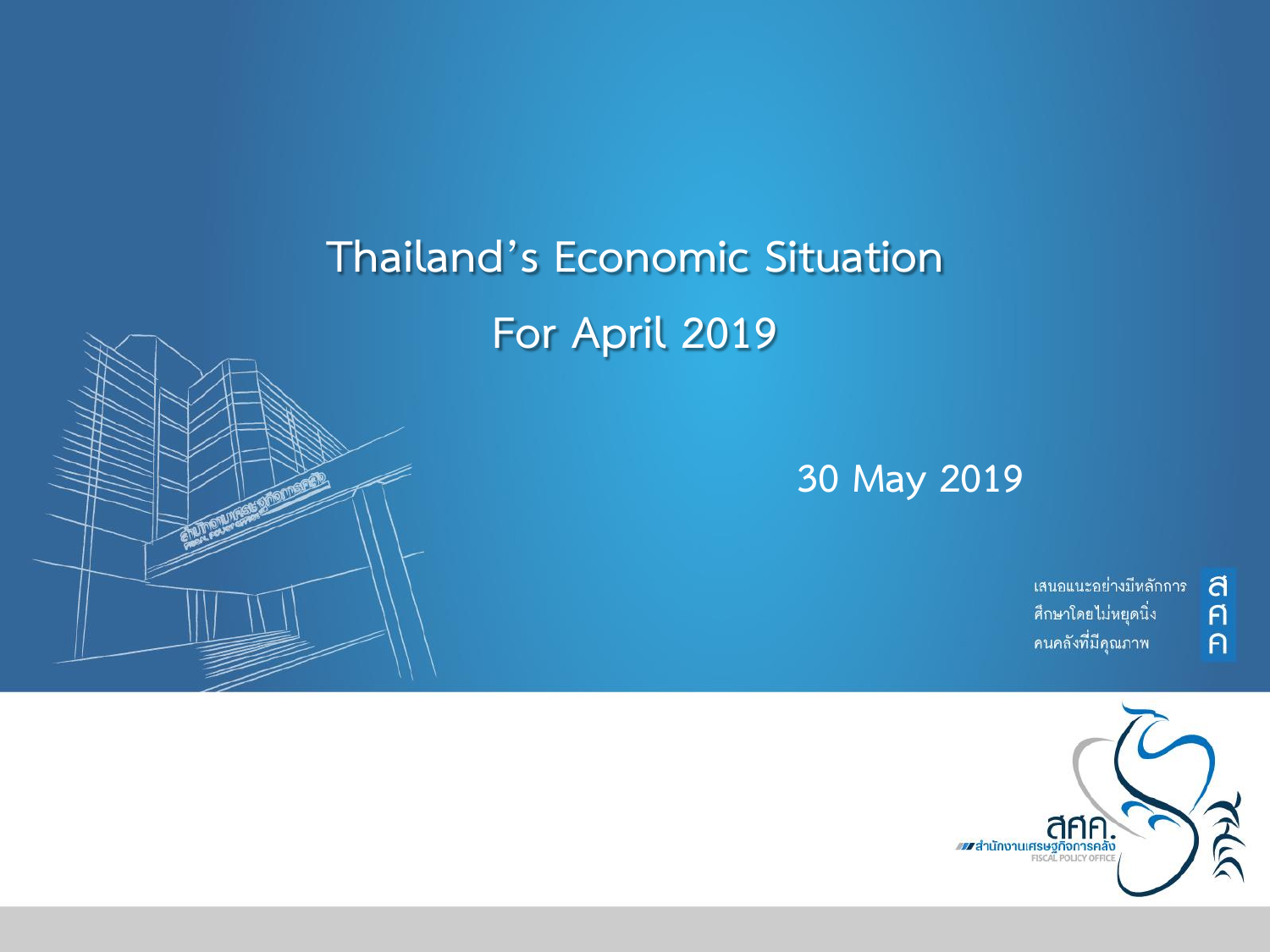# **Thailand's Economic Situation For April 2019**



#### **30 May 2019**

้เสนอแนะอย่างมีหลักการ ศึกษาโดยไม่หยุดนิ่ง คนคลังที่มีคุณภาพ

ิศ<br>ค

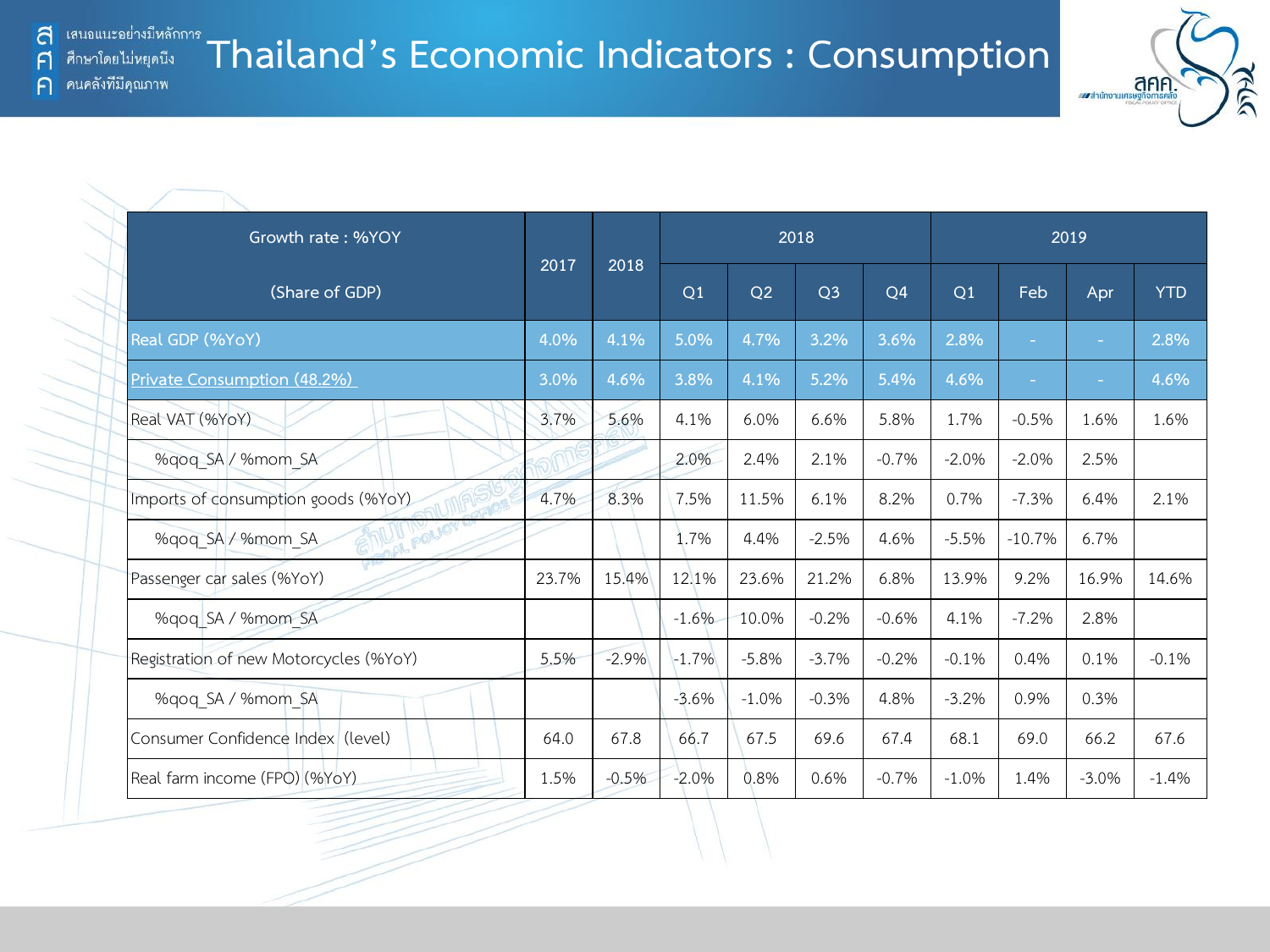F

 $\bigcap$ 



|                                        |       |         |         |         |                |                |         |          | ww.anunonumsumomsnap |            |
|----------------------------------------|-------|---------|---------|---------|----------------|----------------|---------|----------|----------------------|------------|
|                                        |       |         |         |         |                |                |         |          |                      |            |
| Growth rate: %YOY                      |       |         |         |         | 2018           |                |         |          | 2019                 |            |
| (Share of GDP)                         | 2017  | 2018    | Q1      | Q2      | Q <sub>3</sub> | Q <sub>4</sub> | Q1      | Feb      | Apr                  | <b>YTD</b> |
| Real GDP (%YoY)                        | 4.0%  | 4.1%    | 5.0%    | 4.7%    | 3.2%           | 3.6%           | 2.8%    | $\sim$   | ÷                    | 2.8%       |
| Private Consumption (48.2%)            | 3.0%  | 4.6%    | 3.8%    | 4.1%    | 5.2%           | 5.4%           | 4.6%    | $\sim$   | $\sim$               | 4.6%       |
| Real VAT (%YoY)                        | 3.7%  | 5.6%    | 4.1%    | 6.0%    | 6.6%           | 5.8%           | 1.7%    | $-0.5%$  | 1.6%                 | 1.6%       |
| %gog SA / %mom SA                      |       |         | 2.0%    | 2.4%    | 2.1%           | $-0.7%$        | $-2.0%$ | $-2.0%$  | 2.5%                 |            |
| Imports of consumption goods (%YoY)    | 4.7%  | 8.3%    | 7.5%    | 11.5%   | 6.1%           | 8.2%           | 0.7%    | $-7.3%$  | 6.4%                 | 2.1%       |
| POLICY<br>%gog SA / %mom SA            |       |         | 1.7%    | 4.4%    | $-2.5%$        | 4.6%           | $-5.5%$ | $-10.7%$ | 6.7%                 |            |
| Passenger car sales (%YoY)             | 23.7% | 15.4%   | 12.1%   | 23.6%   | 21.2%          | 6.8%           | 13.9%   | 9.2%     | 16.9%                | 14.6%      |
| %qoq SA / %mom SA                      |       |         | $-1.6%$ | 10.0%   | $-0.2%$        | $-0.6%$        | 4.1%    | $-7.2%$  | 2.8%                 |            |
| Registration of new Motorcycles (%YoY) | 5.5%  | $-2.9%$ | $-1.7%$ | $-5.8%$ | $-3.7%$        | $-0.2%$        | $-0.1%$ | 0.4%     | 0.1%                 | $-0.1%$    |
| %qoq SA / %mom SA                      |       |         | $-3.6%$ | $-1.0%$ | $-0.3%$        | 4.8%           | $-3.2%$ | 0.9%     | 0.3%                 |            |
| Consumer Confidence Index (level)      | 64.0  | 67.8    | 66.7    | 67.5    | 69.6           | 67.4           | 68.1    | 69.0     | 66.2                 | 67.6       |
| Real farm income (FPO) (%YoY)          | 1.5%  | $-0.5%$ | $-2.0%$ | 0.8%    | 0.6%           | $-0.7%$        | $-1.0%$ | 1.4%     | $-3.0%$              | $-1.4%$    |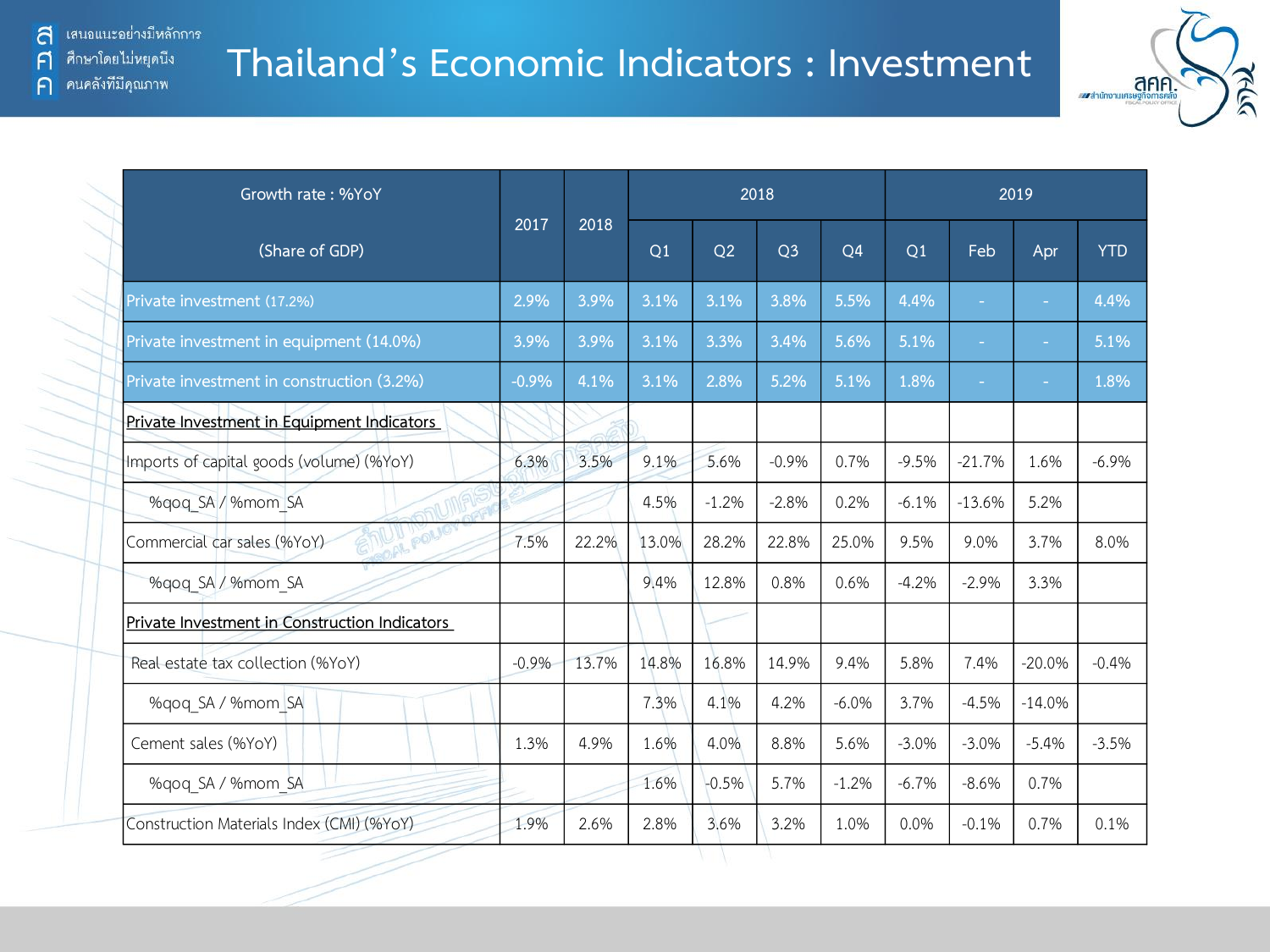### **Thailand's Economic Indicators : Investment**



| Growth rate: %YoY                              |         |       |       |         | 2018           |                |         |          | 2019     |            |
|------------------------------------------------|---------|-------|-------|---------|----------------|----------------|---------|----------|----------|------------|
| (Share of GDP)                                 | 2017    | 2018  | Q1    | Q2      | Q <sub>3</sub> | Q <sub>4</sub> | Q1      | Feb      | Apr      | <b>YTD</b> |
| Private investment (17.2%)                     | 2.9%    | 3.9%  | 3.1%  | 3.1%    | 3.8%           | 5.5%           | 4.4%    | ÷.       | ٠        | 4.4%       |
| Private investment in equipment (14.0%)        | 3.9%    | 3.9%  | 3.1%  | 3.3%    | 3.4%           | 5.6%           | 5.1%    | $\sim$   | ٠        | 5.1%       |
| Private investment in construction (3.2%)      | $-0.9%$ | 4.1%  | 3.1%  | 2.8%    | 5.2%           | 5.1%           | 1.8%    | $\sim$   | ÷        | 1.8%       |
| Private Investment in Equipment Indicators     |         |       |       |         |                |                |         |          |          |            |
| Imports of capital goods (volume) (%YoY)       | 6.3%    | 3.5%  | 9.1%  | 5.6%    | $-0.9%$        | 0.7%           | $-9.5%$ | $-21.7%$ | 1.6%     | $-6.9%$    |
| %gog SA / %mom SA                              |         |       | 4.5%  | $-1.2%$ | $-2.8%$        | 0.2%           | $-6.1%$ | $-13.6%$ | 5.2%     |            |
| <b>OF POLIC</b><br>Commercial car sales (%YoY) | 7.5%    | 22.2% | 13.0% | 28.2%   | 22.8%          | 25.0%          | 9.5%    | 9.0%     | 3.7%     | 8.0%       |
| %gog SA / %mom SA                              |         |       | 9.4%  | 12.8%   | 0.8%           | 0.6%           | $-4.2%$ | $-2.9%$  | 3.3%     |            |
| Private Investment in Construction Indicators  |         |       |       |         |                |                |         |          |          |            |
| Real estate tax collection (%YoY)              | $-0.9%$ | 13.7% | 14.8% | 16.8%   | 14.9%          | 9.4%           | 5.8%    | 7.4%     | $-20.0%$ | $-0.4%$    |
| %qoq SA / %mom SA                              |         |       | 7.3%  | 4.1%    | 4.2%           | $-6.0%$        | 3.7%    | $-4.5%$  | $-14.0%$ |            |
| Cement sales (%YoY)                            | 1.3%    | 4.9%  | 1.6%  | 4.0%    | 8.8%           | 5.6%           | $-3.0%$ | $-3.0%$  | $-5.4%$  | $-3.5%$    |
| %qoq SA / %mom SA                              |         |       | 1.6%  | $-0.5%$ | 5.7%           | $-1.2%$        | $-6.7%$ | $-8.6%$  | 0.7%     |            |
| Construction Materials Index (CMI) (%YoY)      | 1.9%    | 2.6%  | 2.8%  | 3.6%    | 3.2%           | 1.0%           | 0.0%    | $-0.1%$  | 0.7%     | 0.1%       |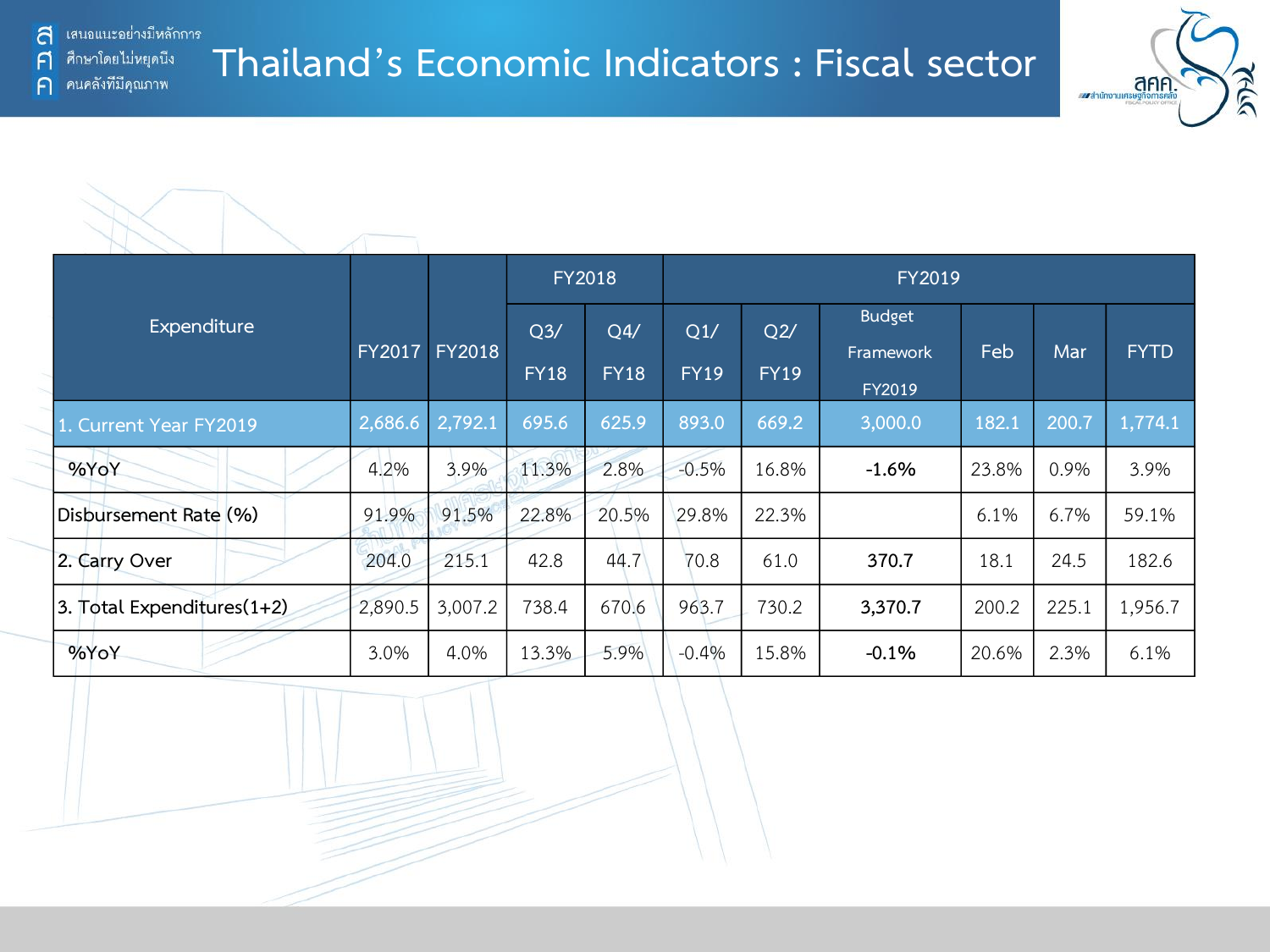้ เสนอแนะอย่างมีหลักการ a

**Thailand's Economic Indicators : Fiscal sector**



|                            |               |               |                | <b>FY2018</b> |             |             | FY2019        |       |       |             |
|----------------------------|---------------|---------------|----------------|---------------|-------------|-------------|---------------|-------|-------|-------------|
| Expenditure                |               |               | Q <sub>3</sub> | Q4/           | Q1/         | Q2/         | <b>Budget</b> |       |       |             |
|                            | <b>FY2017</b> | <b>FY2018</b> | <b>FY18</b>    | <b>FY18</b>   | <b>FY19</b> | <b>FY19</b> | Framework     | Feb   | Mar   | <b>FYTD</b> |
|                            |               |               |                |               |             |             | FY2019        |       |       |             |
| 1. Current Year FY2019     | 2,686.6       | 2,792.1       | 695.6          | 625.9         | 893.0       | 669.2       | 3,000.0       | 182.1 | 200.7 | 1,774.1     |
| %YoY                       | 4.2%          | 3.9%          | 11.3%          | 2.8%          | $-0.5%$     | 16.8%       | $-1.6%$       | 23.8% | 0.9%  | 3.9%        |
| Disbursement Rate (%)      | 91.9%         | 91.5%         | 22.8%          | 20.5%         | 29.8%       | 22.3%       |               | 6.1%  | 6.7%  | 59.1%       |
| 2. Carry Over              | 204.0         | 215.1         | 42.8           | 44.7          | 70.8        | 61.0        | 370.7         | 18.1  | 24.5  | 182.6       |
| 3. Total Expenditures(1+2) | 2,890.5       | 3,007.2       | 738.4          | 670.6         | 963.7       | 730.2       | 3,370.7       | 200.2 | 225.1 | 1,956.7     |
| %YoY                       | 3.0%          | 4.0%          | 13.3%          | 5.9%          | $-0.4%$     | 15.8%       | $-0.1%$       | 20.6% | 2.3%  | 6.1%        |

ศึกษาโดยไม่หยุดนี้ง F คนคลังที่มีคุณภาพ  $\bigcap$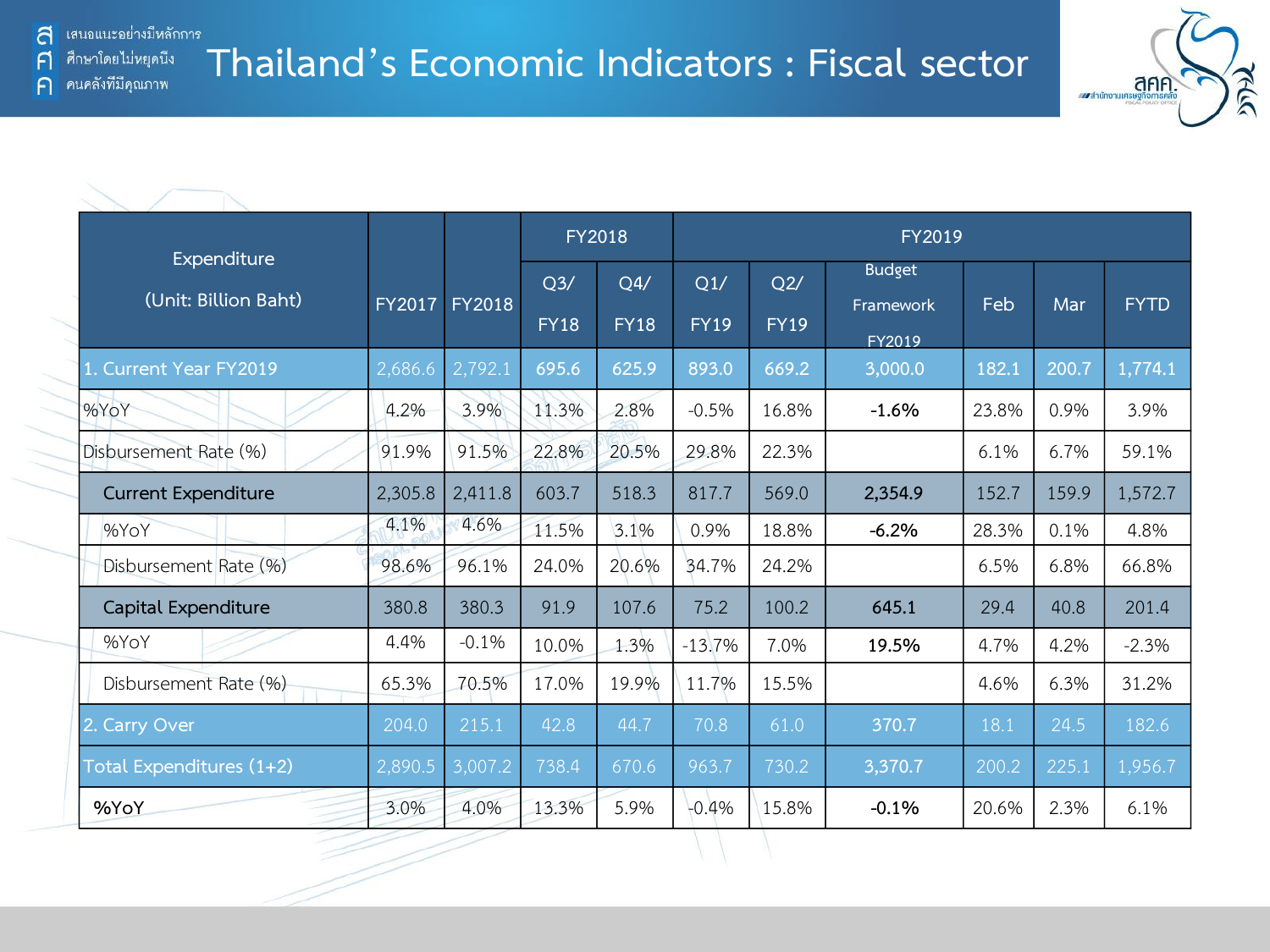

| Expenditure<br>(Unit: Billion Baht) |               |               |                    | <b>FY2018</b>      |                    |                    | FY2019                               |       |       |             |
|-------------------------------------|---------------|---------------|--------------------|--------------------|--------------------|--------------------|--------------------------------------|-------|-------|-------------|
|                                     | <b>FY2017</b> | <b>FY2018</b> | Q3/<br><b>FY18</b> | Q4/<br><b>FY18</b> | Q1/<br><b>FY19</b> | Q2/<br><b>FY19</b> | <b>Budget</b><br>Framework<br>FY2019 | Feb   | Mar   | <b>FYTD</b> |
| Current Year FY2019                 | 2,686.6       | 2,792.1       | 695.6              | 625.9              | 893.0              | 669.2              | 3,000.0                              | 182.1 | 200.7 | 1,774.1     |
| %YoY                                | 4.2%          | 3.9%          | 11.3%              | 2.8%               | $-0.5%$            | 16.8%              | $-1.6%$                              | 23.8% | 0.9%  | 3.9%        |
| Disbursement Rate (%)               | 91.9%         | 91.5%         | 22.8%              | 20.5%              | 29.8%              | 22.3%              |                                      | 6.1%  | 6.7%  | 59.1%       |
| <b>Current Expenditure</b>          | 2,305.8       | 2,411.8       | 603.7              | 518.3              | 817.7              | 569.0              | 2,354.9                              | 152.7 | 159.9 | 1,572.7     |
| %YoY                                | 4.1%          | 4.6%          | 11.5%              | 3.1%               | 0.9%               | 18.8%              | $-6.2%$                              | 28.3% | 0.1%  | 4.8%        |
| Disbursement Rate (%)               | 98.6%         | 96.1%         | 24.0%              | 20.6%              | 34.7%              | 24.2%              |                                      | 6.5%  | 6.8%  | 66.8%       |
| Capital Expenditure                 | 380.8         | 380.3         | 91.9               | 107.6              | 75.2               | 100.2              | 645.1                                | 29.4  | 40.8  | 201.4       |
| %YoY                                | 4.4%          | $-0.1%$       | 10.0%              | 1.3%               | $-13.7%$           | 7.0%               | 19.5%                                | 4.7%  | 4.2%  | $-2.3%$     |
| Disbursement Rate (%)               | 65.3%         | 70.5%         | 17.0%              | 19.9%              | 11.7%              | 15.5%              |                                      | 4.6%  | 6.3%  | 31.2%       |
| 2. Carry Over                       | 204.0         | 215.1         | 42.8               | 44.7               | 70.8               | 61.0               | 370.7                                | 18.1  | 24.5  | 182.6       |
| Total Expenditures (1+2)            | 2,890.5       | 3,007.2       | 738.4              | 670.6              | 963.7              | 730.2              | 3,370.7                              | 200.2 | 225.1 | 1,956.7     |
| %YoY                                | 3.0%          | 4.0%          | 13.3%              | 5.9%               | $-0.4%$            | 15.8%              | $-0.1%$                              | 20.6% | 2.3%  | 6.1%        |

์ ศึกษาโดยไม่หยุดนี<sub>้</sub>ง  $\mathsf{F}$ คนคลังที่มีคุณภาพ  $\bigcap$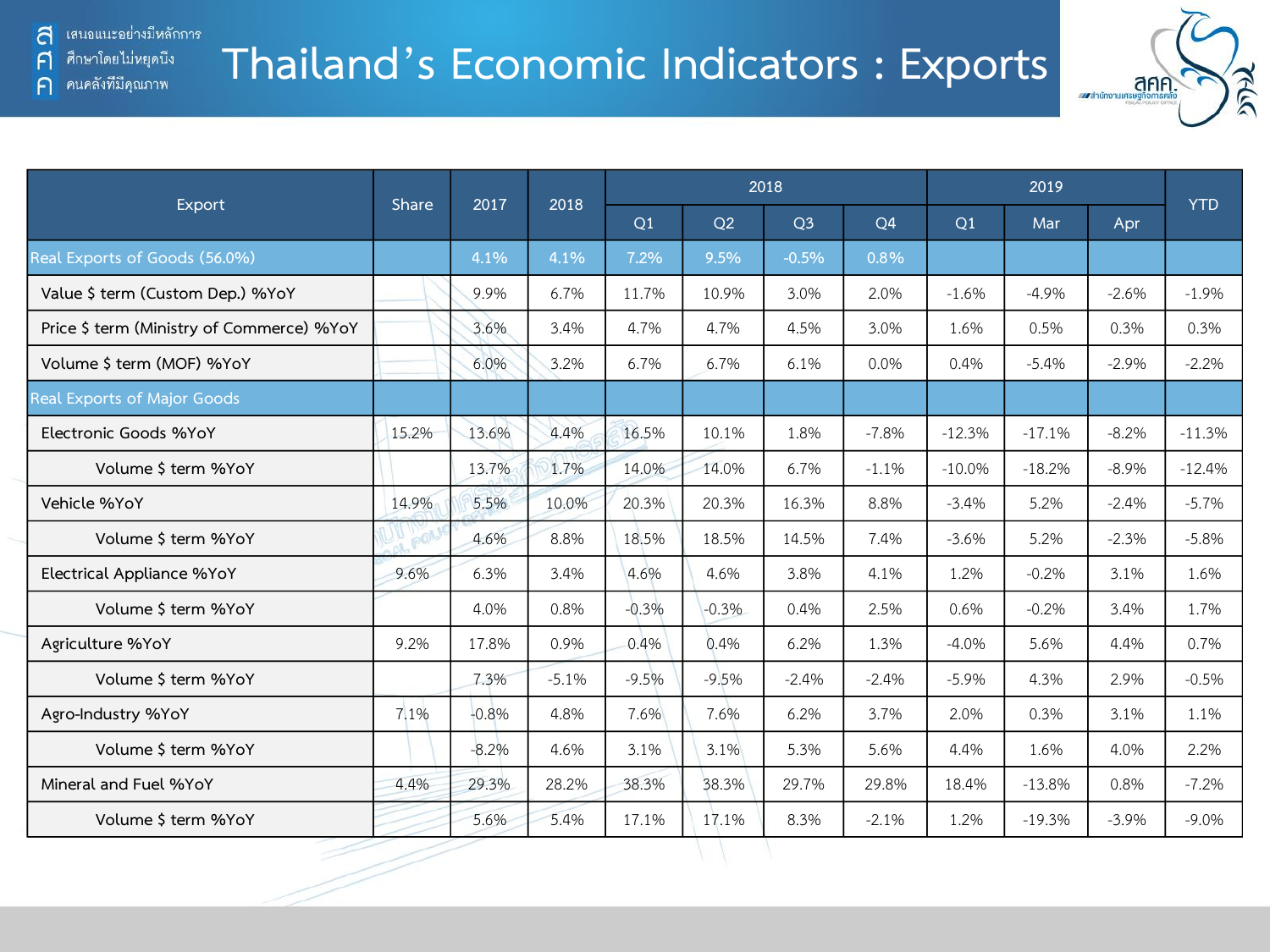คนคลังที่มีคุณภาพ

A

 $\bigcap$ 



|                                           |              | 2017    | 2018    |         |         | 2018           |           |           | <b>YTD</b> |         |          |
|-------------------------------------------|--------------|---------|---------|---------|---------|----------------|-----------|-----------|------------|---------|----------|
| Export                                    | <b>Share</b> |         |         | Q1      | Q2      | Q <sub>3</sub> | <b>O4</b> | Q1        | Mar        | Apr     |          |
| Real Exports of Goods (56.0%)             |              | 4.1%    | 4.1%    | 7.2%    | 9.5%    | $-0.5%$        | 0.8%      |           |            |         |          |
| Value \$ term (Custom Dep.) %YoY          |              | 9.9%    | 6.7%    | 11.7%   | 10.9%   | 3.0%           | 2.0%      | $-1.6%$   | $-4.9%$    | $-2.6%$ | $-1.9%$  |
| Price \$ term (Ministry of Commerce) %YoY |              | 3.6%    | 3.4%    | 4.7%    | 4.7%    | 4.5%           | 3.0%      | 1.6%      | 0.5%       | 0.3%    | 0.3%     |
| Volume \$ term (MOF) %YoY                 |              | 6.0%    | 3.2%    | 6.7%    | 6.7%    | 6.1%           | 0.0%      | 0.4%      | $-5.4%$    | $-2.9%$ | $-2.2%$  |
| Real Exports of Major Goods               |              |         |         |         |         |                |           |           |            |         |          |
| Electronic Goods %YoY                     | 15.2%        | 13.6%   | 4.4%    | 16.5%   | 10.1%   | 1.8%           | $-7.8%$   | $-12.3%$  | $-17.1%$   | $-8.2%$ | $-11.3%$ |
| Volume \$ term %YoY                       |              | 13.7%   | 1.7%    | 14.0%   | 14.0%   | 6.7%           | $-1.1%$   | $-10.0\%$ | $-18.2%$   | $-8.9%$ | $-12.4%$ |
| Vehicle %YoY                              | 14.9%        | 5.5%    | 10.0%   | 20.3%   | 20.3%   | 16.3%          | 8.8%      | $-3.4%$   | 5.2%       | $-2.4%$ | $-5.7%$  |
| Volume \$ term %YoY                       |              | 4.6%    | 8.8%    | 18.5%   | 18.5%   | 14.5%          | 7.4%      | $-3.6%$   | 5.2%       | $-2.3%$ | $-5.8%$  |
| Electrical Appliance %YoY                 | 9.6%         | 6.3%    | 3.4%    | 4.6%    | 4.6%    | 3.8%           | 4.1%      | 1.2%      | $-0.2%$    | 3.1%    | 1.6%     |
| Volume \$ term %YoY                       |              | 4.0%    | 0.8%    | $-0.3%$ | $-0.3%$ | 0.4%           | 2.5%      | 0.6%      | $-0.2%$    | 3.4%    | 1.7%     |
| Agriculture %YoY                          | 9.2%         | 17.8%   | 0.9%    | 0.4%    | 0.4%    | 6.2%           | 1.3%      | $-4.0%$   | 5.6%       | 4.4%    | 0.7%     |
| Volume \$ term %YoY                       |              | 7.3%    | $-5.1%$ | $-9.5%$ | $-9.5%$ | $-2.4%$        | $-2.4%$   | $-5.9%$   | 4.3%       | 2.9%    | $-0.5%$  |
| Agro-Industry %YoY                        | 7.1%         | $-0.8%$ | 4.8%    | 7.6%    | 7.6%    | 6.2%           | 3.7%      | 2.0%      | 0.3%       | 3.1%    | 1.1%     |
| Volume \$ term %YoY                       |              | $-8.2%$ | 4.6%    | 3.1%    | 3.1%    | 5.3%           | 5.6%      | 4.4%      | 1.6%       | 4.0%    | 2.2%     |
| Mineral and Fuel %YoY                     | 4.4%         | 29.3%   | 28.2%   | 38.3%   | 38.3%   | 29.7%          | 29.8%     | 18.4%     | $-13.8%$   | 0.8%    | $-7.2%$  |
| Volume \$ term %YoY                       |              | 5.6%    | 5.4%    | 17.1%   | 17.1%   | 8.3%           | $-2.1%$   | 1.2%      | $-19.3%$   | $-3.9%$ | $-9.0\%$ |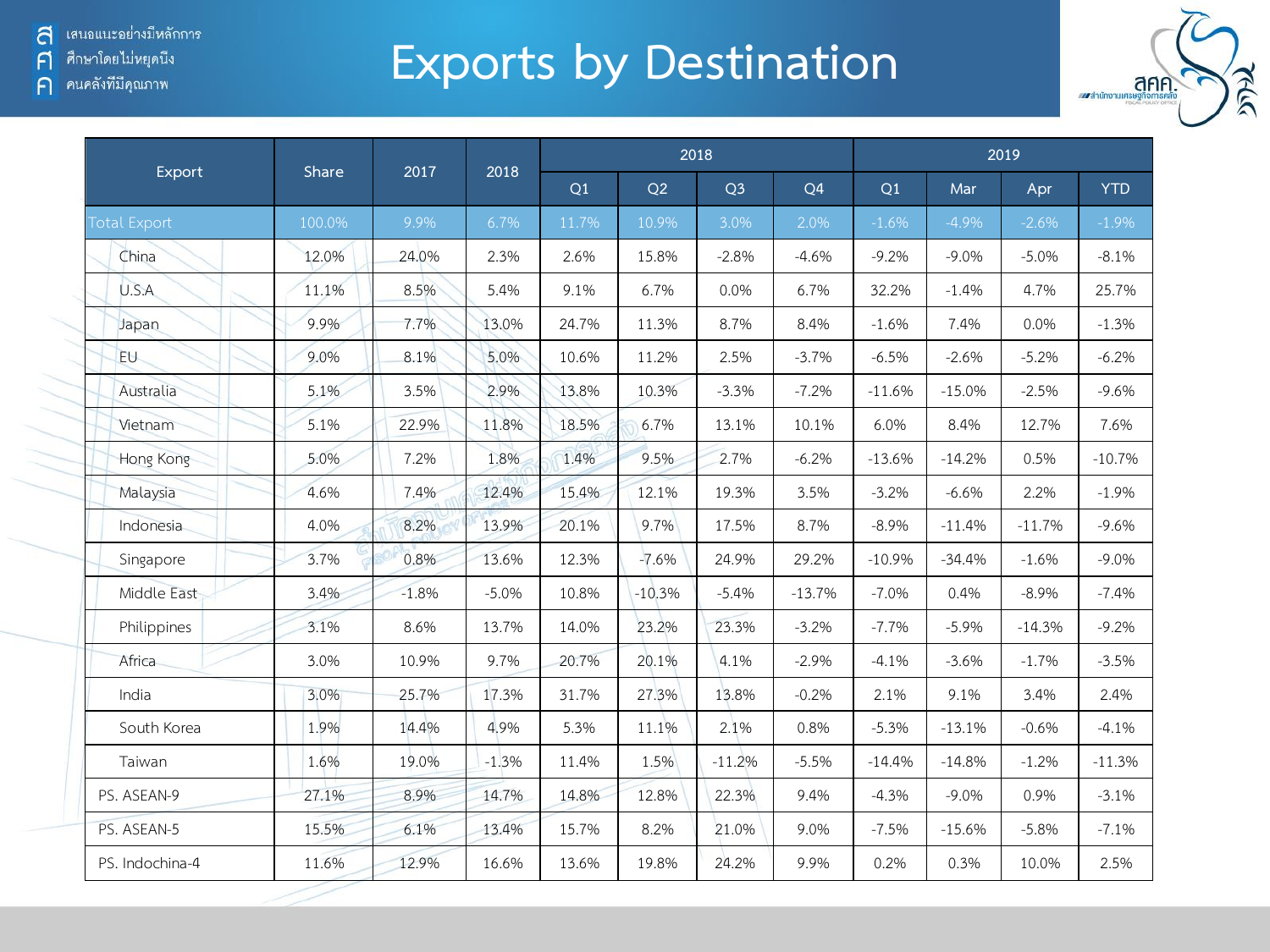์ คนคลังที่มีคุณภาพ

 $\bigcap$ 

## **Exports by Destination**



|                 |        |         | 2018    |       |          | 2018           |                |          |          | 2019     |            |
|-----------------|--------|---------|---------|-------|----------|----------------|----------------|----------|----------|----------|------------|
| Export          | Share  | 2017    |         | Q1    | Q2       | Q <sub>3</sub> | Q <sub>4</sub> | Q1       | Mar      | Apr      | <b>YTD</b> |
| Total Export    | 100.0% | 9.9%    | 6.7%    | 11.7% | 10.9%    | 3.0%           | 2.0%           | $-1.6%$  | $-4.9%$  | $-2.6%$  | $-1.9%$    |
| China           | 12.0%  | 24.0%   | 2.3%    | 2.6%  | 15.8%    | $-2.8%$        | $-4.6%$        | $-9.2%$  | $-9.0%$  | $-5.0%$  | $-8.1%$    |
| U.S.A           | 11.1%  | 8.5%    | 5.4%    | 9.1%  | 6.7%     | 0.0%           | 6.7%           | 32.2%    | $-1.4%$  | 4.7%     | 25.7%      |
| Japan           | 9.9%   | 7.7%    | 13.0%   | 24.7% | 11.3%    | 8.7%           | 8.4%           | $-1.6%$  | 7.4%     | 0.0%     | $-1.3%$    |
| EU-             | 9.0%   | 8.1%    | 5.0%    | 10.6% | 11.2%    | 2.5%           | $-3.7%$        | $-6.5%$  | $-2.6%$  | $-5.2%$  | $-6.2%$    |
| Australia       | 5.1%   | 3.5%    | 2.9%    | 13.8% | 10.3%    | $-3.3%$        | $-7.2%$        | $-11.6%$ | $-15.0%$ | $-2.5%$  | $-9.6%$    |
| Vietnam         | 5.1%   | 22.9%   | 11.8%   | 18.5% | 6.7%     | 13.1%          | 10.1%          | 6.0%     | 8.4%     | 12.7%    | 7.6%       |
| Hong Kong       | 5.0%   | 7.2%    | 1.8%    | 1.4%  | 9.5%     | 2.7%           | $-6.2%$        | $-13.6%$ | $-14.2%$ | 0.5%     | $-10.7%$   |
| Malaysia        | 4.6%   | 7.4%    | 12.4%   | 15.4% | 12.1%    | 19.3%          | 3.5%           | $-3.2%$  | $-6.6%$  | 2.2%     | $-1.9%$    |
| Indonesia       | 4.0%   | 8.2%    | 13.9%   | 20.1% | 9.7%     | 17.5%          | 8.7%           | $-8.9%$  | $-11.4%$ | $-11.7%$ | $-9.6%$    |
| Singapore       | 3.7%   | 0.8%    | 13.6%   | 12.3% | $-7.6%$  | 24.9%          | 29.2%          | $-10.9%$ | $-34.4%$ | $-1.6%$  | $-9.0%$    |
| Middle East     | 3.4%   | $-1.8%$ | $-5.0%$ | 10.8% | $-10.3%$ | $-5.4%$        | $-13.7%$       | $-7.0%$  | 0.4%     | $-8.9%$  | $-7.4%$    |
| Philippines     | 3.1%   | 8.6%    | 13.7%   | 14.0% | 23.2%    | 23.3%          | $-3.2%$        | $-7.7%$  | $-5.9%$  | $-14.3%$ | $-9.2%$    |
| Africa          | 3.0%   | 10.9%   | 9.7%    | 20.7% | 20.1%    | 4.1%           | $-2.9%$        | $-4.1%$  | $-3.6%$  | $-1.7%$  | $-3.5%$    |
| India           | 3.0%   | 25.7%   | 17.3%   | 31.7% | 27.3%    | 13.8%          | $-0.2%$        | 2.1%     | 9.1%     | 3.4%     | 2.4%       |
| South Korea     | 1.9%   | 14.4%   | 4.9%    | 5.3%  | 11.1%    | 2.1%           | 0.8%           | $-5.3%$  | $-13.1%$ | $-0.6%$  | $-4.1%$    |
| Taiwan          | 1.6%   | 19.0%   | $-1.3%$ | 11.4% | 1.5%     | $-11.2%$       | $-5.5%$        | $-14.4%$ | $-14.8%$ | $-1.2%$  | $-11.3%$   |
| PS. ASEAN-9     | 27.1%  | 8.9%    | 14.7%   | 14.8% | 12.8%    | 22.3%          | 9.4%           | $-4.3%$  | $-9.0%$  | 0.9%     | $-3.1%$    |
| PS. ASEAN-5     | 15.5%  | 6.1%    | 13.4%   | 15.7% | 8.2%     | 21.0%          | 9.0%           | $-7.5%$  | $-15.6%$ | $-5.8%$  | $-7.1%$    |
| PS. Indochina-4 | 11.6%  | 12.9%   | 16.6%   | 13.6% | 19.8%    | 24.2%          | 9.9%           | 0.2%     | 0.3%     | 10.0%    | 2.5%       |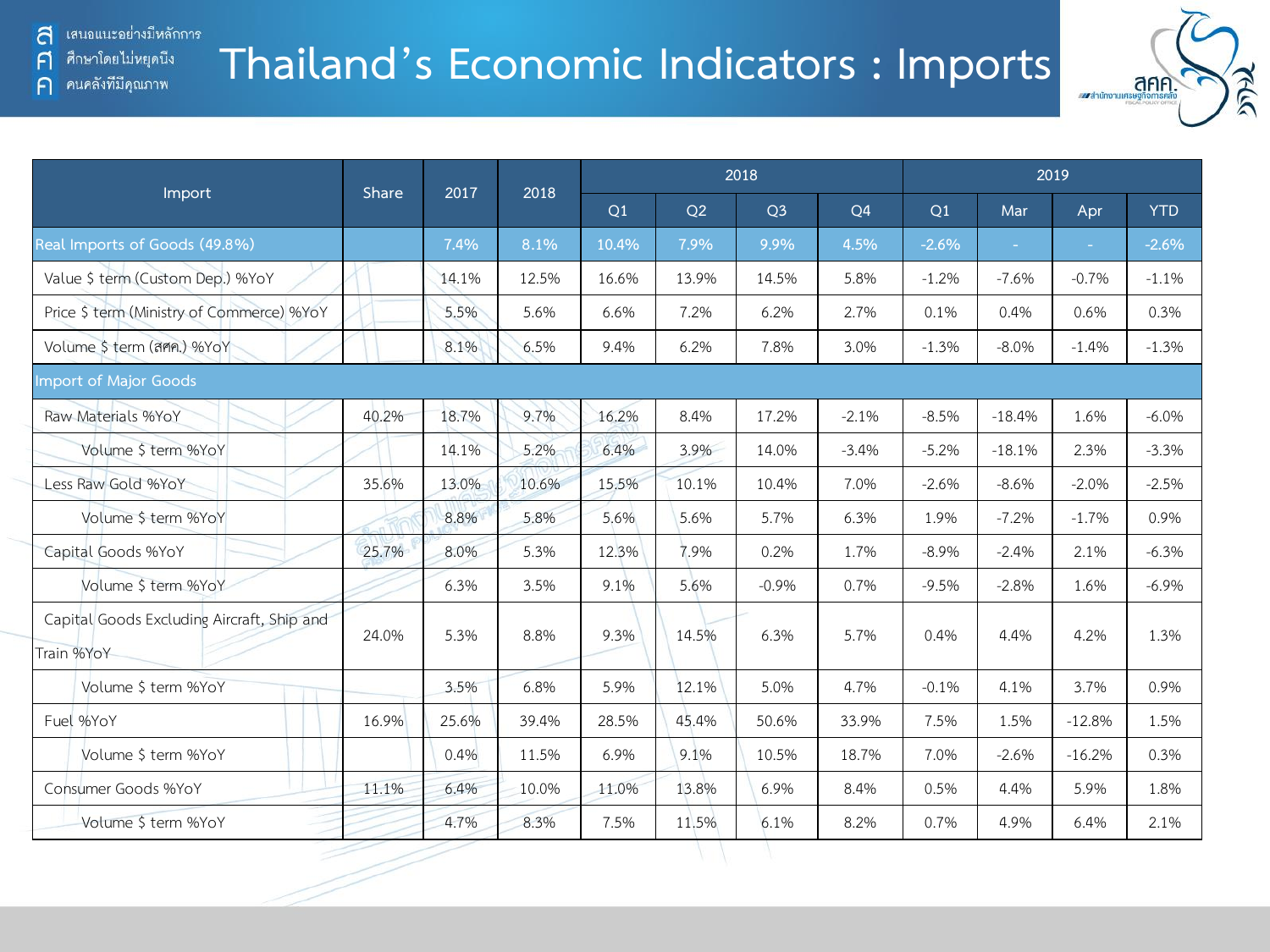คนคลังที่มีคุณภาพ

A

 $\bigcap$ 

### **Thailand's Economic Indicators : Imports**



|                                                          |       |       |       |       |       | 2018           |         |         |          | 2019     |            |
|----------------------------------------------------------|-------|-------|-------|-------|-------|----------------|---------|---------|----------|----------|------------|
| Import                                                   | Share | 2017  | 2018  | Q1    | Q2    | Q <sub>3</sub> | Q4      | Q1      | Mar      | Apr      | <b>YTD</b> |
| Real Imports of Goods (49.8%)                            |       | 7.4%  | 8.1%  | 10.4% | 7.9%  | 9.9%           | 4.5%    | $-2.6%$ |          | ÷        | $-2.6%$    |
| Value \$ term (Custom Dep.) %YoY                         |       | 14.1% | 12.5% | 16.6% | 13.9% | 14.5%          | 5.8%    | $-1.2%$ | $-7.6%$  | $-0.7%$  | $-1.1%$    |
| Price \$ term (Ministry of Commerce) %YoY                |       | 5.5%  | 5.6%  | 6.6%  | 7.2%  | 6.2%           | 2.7%    | 0.1%    | 0.4%     | 0.6%     | 0.3%       |
| Volume \$ term (ann.) %YoY                               |       | 8.1%  | 6.5%  | 9.4%  | 6.2%  | 7.8%           | 3.0%    | $-1.3%$ | $-8.0%$  | $-1.4%$  | $-1.3%$    |
| Import of Major Goods                                    |       |       |       |       |       |                |         |         |          |          |            |
| Raw Materials %YoY                                       | 40.2% | 18.7% | 9.7%  | 16.2% | 8.4%  | 17.2%          | $-2.1%$ | $-8.5%$ | $-18.4%$ | 1.6%     | $-6.0\%$   |
| Volume \$ term %YoY                                      |       | 14.1% | 5.2%  | 6.4%  | 3.9%  | 14.0%          | $-3.4%$ | $-5.2%$ | $-18.1%$ | 2.3%     | $-3.3%$    |
| Less Raw Gold %YoY                                       | 35.6% | 13.0% | 10.6% | 15.5% | 10.1% | 10.4%          | 7.0%    | $-2.6%$ | $-8.6%$  | $-2.0%$  | $-2.5%$    |
| Volume \$ term %YoY                                      |       | 8.8%  | 5.8%  | 5.6%  | 5.6%  | 5.7%           | 6.3%    | 1.9%    | $-7.2%$  | $-1.7%$  | 0.9%       |
| Capital Goods %YoY                                       | 25.7% | 8.0%  | 5.3%  | 12.3% | 7.9%  | 0.2%           | 1.7%    | $-8.9%$ | $-2.4%$  | 2.1%     | $-6.3%$    |
| Volume \$ term %YoY                                      |       | 6.3%  | 3.5%  | 9.1%  | 5.6%  | $-0.9%$        | 0.7%    | $-9.5%$ | $-2.8%$  | 1.6%     | $-6.9%$    |
| Capital Goods Excluding Aircraft, Ship and<br>Train %YoY | 24.0% | 5.3%  | 8.8%  | 9.3%  | 14.5% | 6.3%           | 5.7%    | 0.4%    | 4.4%     | 4.2%     | 1.3%       |
| Volume \$ term %YoY                                      |       | 3.5%  | 6.8%  | 5.9%  | 12.1% | 5.0%           | 4.7%    | $-0.1%$ | 4.1%     | 3.7%     | 0.9%       |
| Fuel %YoY                                                | 16.9% | 25.6% | 39.4% | 28.5% | 45.4% | 50.6%          | 33.9%   | 7.5%    | 1.5%     | $-12.8%$ | 1.5%       |
| Volume \$ term %YoY                                      |       | 0.4%  | 11.5% | 6.9%  | 9.1%  | 10.5%          | 18.7%   | 7.0%    | $-2.6%$  | $-16.2%$ | 0.3%       |
| Consumer Goods %YoY                                      | 11.1% | 6.4%  | 10.0% | 11.0% | 13.8% | 6.9%           | 8.4%    | 0.5%    | 4.4%     | 5.9%     | 1.8%       |
| Volume \$ term %YoY                                      |       | 4.7%  | 8.3%  | 7.5%  | 11.5% | 6.1%           | 8.2%    | 0.7%    | 4.9%     | 6.4%     | 2.1%       |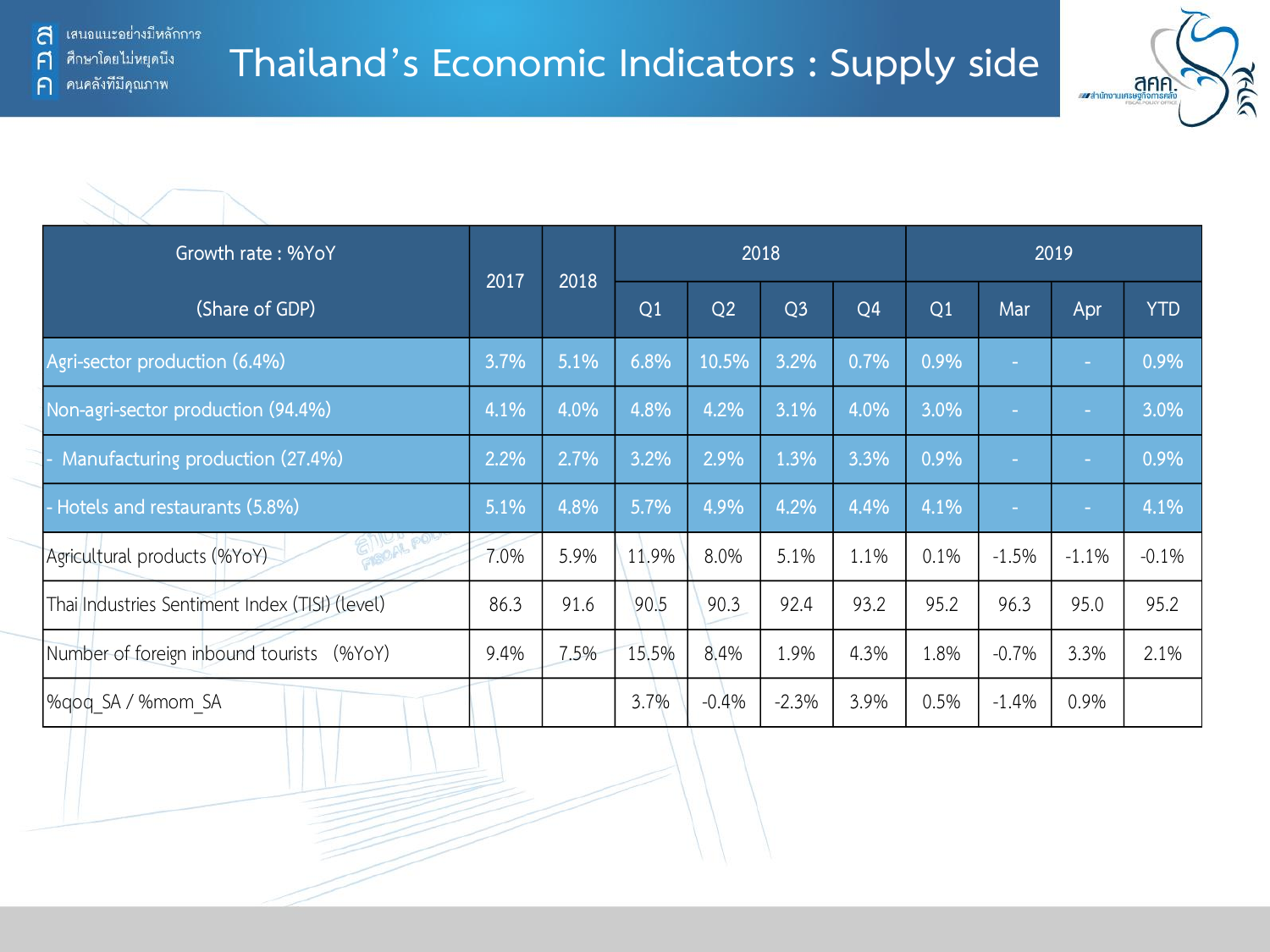

|                                                |                                                                                                                                                                                                                                                     |      |       |            |         |      |      |         |         | และสำนักงานเศรษฐกิจการคลัง<br>กระพันธุ์ขอบอากาศ |
|------------------------------------------------|-----------------------------------------------------------------------------------------------------------------------------------------------------------------------------------------------------------------------------------------------------|------|-------|------------|---------|------|------|---------|---------|-------------------------------------------------|
|                                                |                                                                                                                                                                                                                                                     |      |       |            |         |      |      |         |         |                                                 |
| Growth rate: %YoY                              |                                                                                                                                                                                                                                                     |      |       |            |         |      |      |         | 2019    |                                                 |
| (Share of GDP)                                 | 2018<br>2017<br>2018<br>Q1<br>Q2<br>Q <sub>3</sub><br>Q <sub>4</sub><br>Q1<br>6.8%<br>5.1%<br>10.5%<br>3.2%<br>0.7%<br>0.9%<br>3.7%<br>4.1%<br>4.0%<br>4.8%<br>4.2%<br>3.1%<br>4.0%<br>3.0%<br>3.2%<br>2.2%<br>2.7%<br>2.9%<br>1.3%<br>3.3%<br>0.9% | Mar  | Apr   | <b>YTD</b> |         |      |      |         |         |                                                 |
| Agri-sector production (6.4%)                  |                                                                                                                                                                                                                                                     |      |       |            |         |      |      |         |         | 0.9%                                            |
| Non-agri-sector production (94.4%)             |                                                                                                                                                                                                                                                     |      |       |            |         |      |      |         |         | 3.0%                                            |
| Manufacturing production (27.4%)               |                                                                                                                                                                                                                                                     |      |       |            |         |      |      |         |         | 0.9%                                            |
| - Hotels and restaurants (5.8%)                | 5.1%                                                                                                                                                                                                                                                | 4.8% | 5.7%  | 4.9%       | 4.2%    | 4.4% | 4.1% |         |         | 4.1%                                            |
| GILL PO<br>Agricultural products (%YoY)        | 7.0%                                                                                                                                                                                                                                                | 5.9% | 11.9% | 8.0%       | 5.1%    | 1.1% | 0.1% | $-1.5%$ | $-1.1%$ | $-0.1%$                                         |
| Thai Industries Sentiment Index (TISI) (level) | 86.3                                                                                                                                                                                                                                                | 91.6 | 90.5  | 90.3       | 92.4    | 93.2 | 95.2 | 96.3    | 95.0    | 95.2                                            |
| Number of foreign inbound tourists (%YoY)      | 9.4%                                                                                                                                                                                                                                                | 7.5% | 15.5% | 8.4%       | 1.9%    | 4.3% | 1.8% | $-0.7%$ | 3.3%    | 2.1%                                            |
| %gog SA / %mom SA                              |                                                                                                                                                                                                                                                     |      | 3.7%  | $-0.4%$    | $-2.3%$ | 3.9% | 0.5% | $-1.4%$ | 0.9%    |                                                 |